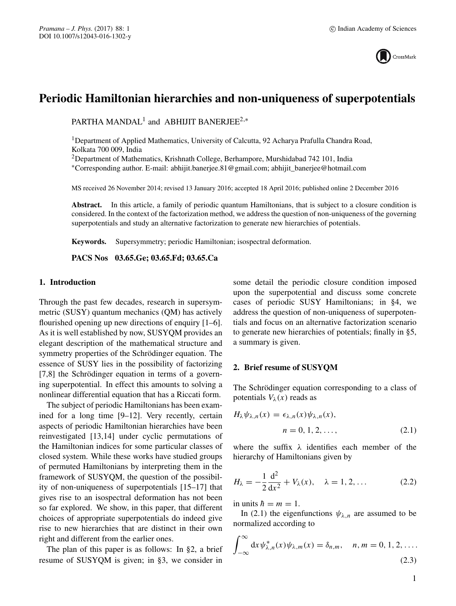

# **Periodic Hamiltonian hierarchies and non-uniqueness of superpotentials**

PARTHA MANDAL<sup>1</sup> and ABHIJIT BANERJEE<sup>2,\*</sup>

<sup>1</sup>Department of Applied Mathematics, University of Calcutta, 92 Acharya Prafulla Chandra Road, Kolkata 700 009, India

2Department of Mathematics, Krishnath College, Berhampore, Murshidabad 742 101, India

∗Corresponding author. E-mail: abhijit.banerjee.81@gmail.com; abhijit\_banerjee@hotmail.com

MS received 26 November 2014; revised 13 January 2016; accepted 18 April 2016; published online 2 December 2016

**Abstract.** In this article, a family of periodic quantum Hamiltonians, that is subject to a closure condition is considered. In the context of the factorization method, we address the question of non-uniqueness of the governing superpotentials and study an alternative factorization to generate new hierarchies of potentials.

**Keywords.** Supersymmetry; periodic Hamiltonian; isospectral deformation.

**PACS Nos 03.65.Ge; 03.65.Fd; 03.65.Ca**

## **1. Introduction**

Through the past few decades, research in supersymmetric (SUSY) quantum mechanics (QM) has actively flourished opening up new directions of enquiry [1–6]. As it is well established by now, SUSYQM provides an elegant description of the mathematical structure and symmetry properties of the Schrödinger equation. The essence of SUSY lies in the possibility of factorizing [7,8] the Schrödinger equation in terms of a governing superpotential. In effect this amounts to solving a nonlinear differential equation that has a Riccati form.

The subject of periodic Hamiltonians has been examined for a long time [9–12]. Very recently, certain aspects of periodic Hamiltonian hierarchies have been reinvestigated [13,14] under cyclic permutations of the Hamiltonian indices for some particular classes of closed system. While these works have studied groups of permuted Hamiltonians by interpreting them in the framework of SUSYQM, the question of the possibility of non-uniqueness of superpotentials [15–17] that gives rise to an isospectral deformation has not been so far explored. We show, in this paper, that different choices of appropriate superpotentials do indeed give rise to new hierarchies that are distinct in their own right and different from the earlier ones.

The plan of this paper is as follows: In §2, a brief resume of SUSYQM is given; in §3, we consider in some detail the periodic closure condition imposed upon the superpotential and discuss some concrete cases of periodic SUSY Hamiltonians; in §4, we address the question of non-uniqueness of superpotentials and focus on an alternative factorization scenario to generate new hierarchies of potentials; finally in §5, a summary is given.

## **2. Brief resume of SUSYQM**

The Schrödinger equation corresponding to a class of potentials  $V_{\lambda}(x)$  reads as

$$
H_{\lambda}\psi_{\lambda,n}(x) = \epsilon_{\lambda,n}(x)\psi_{\lambda,n}(x),
$$
  
\n
$$
n = 0, 1, 2, ...,
$$
\n(2.1)

where the suffix  $\lambda$  identifies each member of the hierarchy of Hamiltonians given by

$$
H_{\lambda} = -\frac{1}{2} \frac{d^2}{dx^2} + V_{\lambda}(x), \quad \lambda = 1, 2, ... \tag{2.2}
$$

in units  $\hbar = m = 1$ .

In (2.1) the eigenfunctions  $\psi_{\lambda,n}$  are assumed to be normalized according to

$$
\int_{-\infty}^{\infty} dx \psi_{\lambda,n}^*(x) \psi_{\lambda,m}(x) = \delta_{n,m}, \quad n, m = 0, 1, 2, \dots
$$
\n(2.3)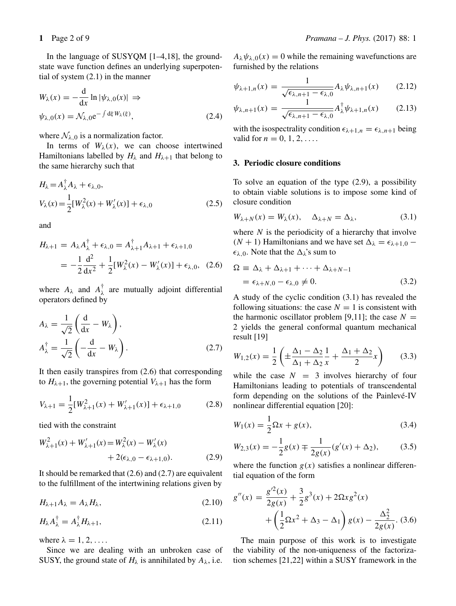In the language of SUSYQM [1–4,18], the groundstate wave function defines an underlying superpotential of system (2.1) in the manner

$$
W_{\lambda}(x) = -\frac{d}{dx} \ln |\psi_{\lambda,0}(x)| \Rightarrow
$$
  

$$
\psi_{\lambda,0}(x) = \mathcal{N}_{\lambda,0} e^{-\int d\xi W_{\lambda}(\xi)},
$$
 (2.4)

where  $\mathcal{N}_{\lambda,0}$  is a normalization factor.

In terms of  $W_\lambda(x)$ , we can choose intertwined Hamiltonians labelled by  $H_{\lambda}$  and  $H_{\lambda+1}$  that belong to the same hierarchy such that

$$
H_{\lambda} = A_{\lambda}^{\dagger} A_{\lambda} + \epsilon_{\lambda,0},
$$
  
\n
$$
V_{\lambda}(x) = \frac{1}{2} [W_{\lambda}^{2}(x) + W_{\lambda}'(x)] + \epsilon_{\lambda,0}
$$
\n(2.5)

and

$$
H_{\lambda+1} = A_{\lambda} A_{\lambda}^{\dagger} + \epsilon_{\lambda,0} = A_{\lambda+1}^{\dagger} A_{\lambda+1} + \epsilon_{\lambda+1,0}
$$
  
= 
$$
-\frac{1}{2} \frac{d^2}{dx^2} + \frac{1}{2} [W_{\lambda}^2(x) - W_{\lambda}'(x)] + \epsilon_{\lambda,0}, \quad (2.6)
$$

where  $A_{\lambda}$  and  $A_{\lambda}^{\dagger}$  are mutually adjoint differential operators defined by operators defined by

$$
A_{\lambda} = \frac{1}{\sqrt{2}} \left( \frac{d}{dx} - W_{\lambda} \right),
$$
  
\n
$$
A_{\lambda}^{\dagger} = \frac{1}{\sqrt{2}} \left( -\frac{d}{dx} - W_{\lambda} \right).
$$
\n(2.7)

It then easily transpires from (2.6) that corresponding to  $H_{\lambda+1}$ , the governing potential  $V_{\lambda+1}$  has the form

$$
V_{\lambda+1} = \frac{1}{2} [W_{\lambda+1}^2(x) + W_{\lambda+1}'(x)] + \epsilon_{\lambda+1,0}
$$
 (2.8)

tied with the constraint

$$
W_{\lambda+1}^{2}(x) + W_{\lambda+1}'(x) = W_{\lambda}^{2}(x) - W_{\lambda}'(x) + 2(\epsilon_{\lambda,0} - \epsilon_{\lambda+1,0}).
$$
 (2.9)

It should be remarked that (2.6) and (2.7) are equivalent to the fulfillment of the intertwining relations given by

$$
H_{\lambda+1}A_{\lambda}=A_{\lambda}H_{\lambda}, \qquad (2.10)
$$

$$
H_{\lambda}A_{\lambda}^{\dagger} = A_{\lambda}^{\dagger}H_{\lambda+1},\tag{2.11}
$$

where  $\lambda = 1, 2, \ldots$ .

Since we are dealing with an unbroken case of SUSY, the ground state of  $H_{\lambda}$  is annihilated by  $A_{\lambda}$ , i.e.

 $A_{\lambda}\psi_{\lambda,0}(x) = 0$  while the remaining wavefunctions are furnished by the relations

$$
\psi_{\lambda+1,n}(x) = \frac{1}{\sqrt{\epsilon_{\lambda,n+1} - \epsilon_{\lambda,0}}} A_{\lambda} \psi_{\lambda,n+1}(x) \qquad (2.12)
$$

$$
\psi_{\lambda,n+1}(x) = \frac{1}{\sqrt{\epsilon_{\lambda,n+1} - \epsilon_{\lambda,0}}} A_{\lambda}^{\dagger} \psi_{\lambda+1,n}(x) \qquad (2.13)
$$

with the isospectrality condition  $\epsilon_{\lambda+1,n} = \epsilon_{\lambda,n+1}$  being valid for  $n = 0, 1, 2, \ldots$ .

## **3. Periodic closure conditions**

To solve an equation of the type (2.9), a possibility to obtain viable solutions is to impose some kind of closure condition

$$
W_{\lambda+N}(x) = W_{\lambda}(x), \quad \Delta_{\lambda+N} = \Delta_{\lambda}, \tag{3.1}
$$

where  $N$  is the periodicity of a hierarchy that involve ( $N + 1$ ) Hamiltonians and we have set  $\Delta_{\lambda} = \epsilon_{\lambda+1,0}$  –  $\epsilon_{\lambda,0}$ . Note that the  $\Delta_{\lambda}$ 's sum to

$$
\Omega \equiv \Delta_{\lambda} + \Delta_{\lambda+1} + \dots + \Delta_{\lambda+N-1}
$$
  
=  $\epsilon_{\lambda+N,0} - \epsilon_{\lambda,0} \neq 0.$  (3.2)

A study of the cyclic condition (3.1) has revealed the following situations: the case  $N = 1$  is consistent with the harmonic oscillator problem [9,11]; the case  $N =$ 2 yields the general conformal quantum mechanical result [19]

$$
W_{1,2}(x) = \frac{1}{2} \left( \pm \frac{\Delta_1 - \Delta_2}{\Delta_1 + \Delta_2} \frac{1}{x} + \frac{\Delta_1 + \Delta_2}{2} x \right) \tag{3.3}
$$

while the case  $N = 3$  involves hierarchy of four<br>Hamiltonians leading to potentials of transcendental Hamiltonians leading to potentials of transcendental form depending on the solutions of the Painlevé-IV nonlinear differential equation [20]:

$$
W_1(x) = \frac{1}{2}\Omega x + g(x),
$$
\n(3.4)

$$
W_{2,3}(x) = -\frac{1}{2}g(x) \mp \frac{1}{2g(x)}(g'(x) + \Delta_2),\tag{3.5}
$$

where the function  $g(x)$  satisfies a nonlinear differen-<br>tial equation of the form tial equation of the form

$$
g''(x) = \frac{g'^2(x)}{2g(x)} + \frac{3}{2}g^3(x) + 2\Omega x g^2(x)
$$

$$
+ \left(\frac{1}{2}\Omega x^2 + \Delta_3 - \Delta_1\right)g(x) - \frac{\Delta_2^2}{2g(x)}.\ (3.6)
$$

The main purpose of this work is to investigate the viability of the non-uniqueness of the factorization schemes [21,22] within a SUSY framework in the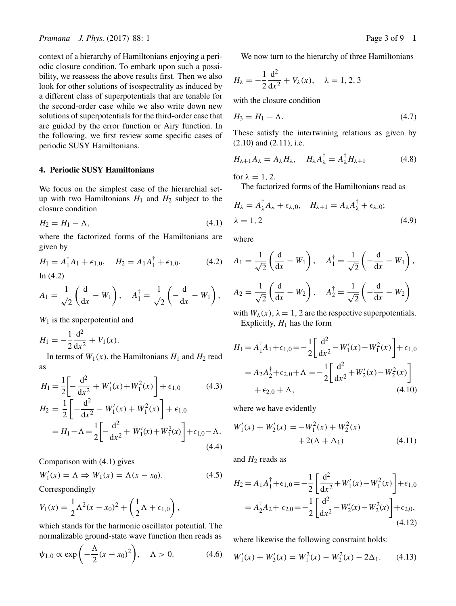*Pramana – J. Phys.* (2017) 88: 1 Page 3 of 9 **1** 

context of a hierarchy of Hamiltonians enjoying a periodic closure condition. To embark upon such a possibility, we reassess the above results first. Then we also look for other solutions of isospectrality as induced by a different class of superpotentials that are tenable for the second-order case while we also write down new solutions of superpotentials for the third-order case that are guided by the error function or Airy function. In the following, we first review some specific cases of periodic SUSY Hamiltonians.

#### **4. Periodic SUSY Hamiltonians**

We focus on the simplest case of the hierarchial setup with two Hamiltonians  $H_1$  and  $H_2$  subject to the closure condition

$$
H_2 = H_1 - \Lambda,\tag{4.1}
$$

where the factorized forms of the Hamiltonians are given by

$$
H_1 = A_1^{\dagger} A_1 + \epsilon_{1,0}, \quad H_2 = A_1 A_1^{\dagger} + \epsilon_{1,0}.
$$
 (4.2)  
In (4.2)

$$
A_1 = \frac{1}{\sqrt{2}} \left( \frac{\mathrm{d}}{\mathrm{d}x} - W_1 \right), \quad A_1^{\dagger} = \frac{1}{\sqrt{2}} \left( -\frac{\mathrm{d}}{\mathrm{d}x} - W_1 \right),
$$

 $W_1$  is the superpotential and

$$
H_1 = -\frac{1}{2}\frac{d^2}{dx^2} + V_1(x).
$$
  
In terms of W<sub>1</sub>(x), the

In terms of  $W_1(x)$ , the Hamiltonians  $H_1$  and  $H_2$  read as

$$
H_1 = \frac{1}{2} \left[ -\frac{d^2}{dx^2} + W_1'(x) + W_1^2(x) \right] + \epsilon_{1,0}
$$
(4.3)  
\n
$$
H_2 = \frac{1}{2} \left[ -\frac{d^2}{dx^2} - W_1'(x) + W_1^2(x) \right] + \epsilon_{1,0}
$$
  
\n
$$
= H_1 - \Lambda = \frac{1}{2} \left[ -\frac{d^2}{dx^2} + W_1'(x) + W_1^2(x) \right] + \epsilon_{1,0} - \Lambda.
$$
(4.4)

Comparison with (4.1) gives

$$
W_1'(x) = \Lambda \Rightarrow W_1(x) = \Lambda(x - x_0). \tag{4.5}
$$

Correspondingly

$$
V_1(x) = \frac{1}{2}\Lambda^2(x - x_0)^2 + \left(\frac{1}{2}\Lambda + \epsilon_{1,0}\right),
$$

which stands for the harmonic oscillator potential. The normalizable ground-state wave function then reads as

$$
\psi_{1,0} \propto \exp\left(-\frac{\Lambda}{2}(x-x_0)^2\right), \quad \Lambda > 0. \tag{4.6}
$$

We now turn to the hierarchy of three Hamiltonians

$$
H_{\lambda} = -\frac{1}{2}\frac{d^2}{dx^2} + V_{\lambda}(x), \quad \lambda = 1, 2, 3
$$

with the closure condition

$$
H_3 = H_1 - \Lambda. \tag{4.7}
$$

These satisfy the intertwining relations as given by (2.10) and (2.11), i.e.

$$
H_{\lambda+1}A_{\lambda} = A_{\lambda}H_{\lambda}, \quad H_{\lambda}A_{\lambda}^{\dagger} = A_{\lambda}^{\dagger}H_{\lambda+1} \tag{4.8}
$$

for  $\lambda = 1, 2$ .

The factorized forms of the Hamiltonians read as

$$
H_{\lambda} = A_{\lambda}^{\dagger} A_{\lambda} + \epsilon_{\lambda,0}, \quad H_{\lambda+1} = A_{\lambda} A_{\lambda}^{\dagger} + \epsilon_{\lambda,0};
$$
  

$$
\lambda = 1,2 \tag{4.9}
$$

where

$$
A_1 = \frac{1}{\sqrt{2}} \left( \frac{d}{dx} - W_1 \right), \quad A_1^{\dagger} = \frac{1}{\sqrt{2}} \left( -\frac{d}{dx} - W_1 \right),
$$
  

$$
A_2 = \frac{1}{\sqrt{2}} \left( \frac{d}{dx} - W_2 \right), \quad A_2^{\dagger} = \frac{1}{\sqrt{2}} \left( -\frac{d}{dx} - W_2 \right)
$$

with  $W_\lambda(x)$ ,  $\lambda = 1$ , 2 are the respective superpotentials. Explicitly,  $H_1$  has the form

$$
H_1 = A_1^{\dagger} A_1 + \epsilon_{1,0} = -\frac{1}{2} \left[ \frac{d^2}{dx^2} - W_1'(x) - W_1^2(x) \right] + \epsilon_{1,0}
$$
  
=  $A_2 A_2^{\dagger} + \epsilon_{2,0} + \Lambda = -\frac{1}{2} \left[ \frac{d^2}{dx^2} + W_2'(x) - W_2^2(x) \right]$   
+  $\epsilon_{2,0} + \Lambda$ , (4.10)

where we have evidently

$$
W'_1(x) + W'_2(x) = -W_1^2(x) + W_2^2(x)
$$
  
+ 2( $\Lambda$  +  $\Delta_1$ ) (4.11)

and  $H_2$  reads as

$$
H_2 = A_1 A_1^{\dagger} + \epsilon_{1,0} = -\frac{1}{2} \left[ \frac{d^2}{dx^2} + W_1'(x) - W_1^2(x) \right] + \epsilon_{1,0}
$$
  
=  $A_2^{\dagger} A_2 + \epsilon_{2,0} = -\frac{1}{2} \left[ \frac{d^2}{dx^2} - W_2'(x) - W_2^2(x) \right] + \epsilon_{2,0},$  (4.12)

where likewise the following constraint holds:

$$
W_1'(x) + W_2'(x) = W_1^2(x) - W_2^2(x) - 2\Delta_1.
$$
 (4.13)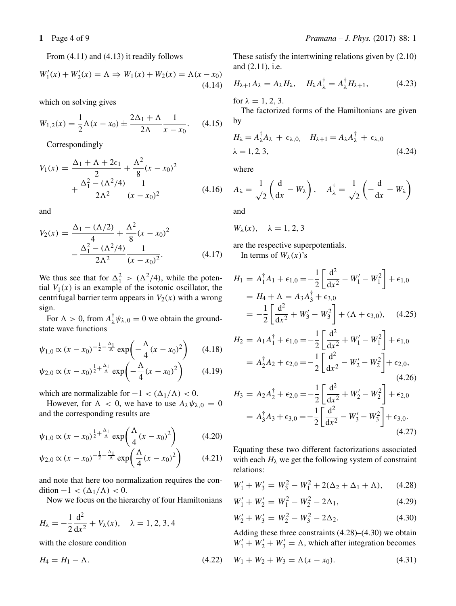From (4.11) and (4.13) it readily follows

$$
W'_1(x) + W'_2(x) = \Lambda \Rightarrow W_1(x) + W_2(x) = \Lambda(x - x_0)
$$
\n(4.14)

which on solving gives

$$
W_{1,2}(x) = \frac{1}{2}\Lambda(x - x_0) \pm \frac{2\Delta_1 + \Lambda}{2\Lambda} \frac{1}{x - x_0}.
$$
 (4.15)

Correspondingly

$$
V_1(x) = \frac{\Delta_1 + \Lambda + 2\epsilon_1}{2} + \frac{\Lambda^2}{8}(x - x_0)^2 + \frac{\Delta_1^2 - (\Lambda^2/4)}{2\Lambda^2} \frac{1}{(x - x_0)^2}
$$
(4.16)

and

$$
V_2(x) = \frac{\Delta_1 - (\Lambda/2)}{4} + \frac{\Lambda^2}{8}(x - x_0)^2 - \frac{\Delta_1^2 - (\Lambda^2/4)}{2\Lambda^2} \frac{1}{(x - x_0)^2}.
$$
 (4.17)

We thus see that for  $\Delta_1^2 > (\Lambda^2/4)$ , while the potential  $V_1(x)$  is an example of the isotopic oscillator, the tial  $V_1(x)$  is an example of the isotonic oscillator, the centrifugal barrier term appears in  $V_2(x)$  with a wrong sign.

For  $\Lambda > 0$ , from  $A_{\lambda}^{\dagger} \psi_{\lambda,0} = 0$  we obtain the groundstate wave functions

$$
\psi_{1,0} \propto (x - x_0)^{-\frac{1}{2} - \frac{\Delta_1}{\Lambda}} \exp\left(-\frac{\Lambda}{4}(x - x_0)^2\right) \tag{4.18}
$$
\n
$$
\psi_{2,0} \propto (x - x_0)^{\frac{1}{2} + \frac{\Delta_1}{\Lambda}} \exp\left(-\frac{\Lambda}{4}(x - x_0)^2\right) \tag{4.19}
$$

$$
\psi_{2,0} \propto (x - x_0)^{\frac{1}{2} + \frac{\Delta_1}{\Lambda}} \exp\left(-\frac{\Lambda}{4}(x - x_0)^2\right)
$$
 (4.19)

which are normalizable for  $-1 < (\Delta_1/\Lambda) < 0$ .

However, for  $\Lambda < 0$ , we have to use  $A_{\lambda} \psi_{\lambda,0} = 0$ and the corresponding results are

$$
\psi_{1,0} \propto (x - x_0)^{\frac{1}{2} + \frac{\Delta_1}{\Lambda}} \exp\left(\frac{\Lambda}{4}(x - x_0)^2\right)
$$
 (4.20)

$$
\psi_{2,0} \propto (x - x_0)^{-\frac{1}{2} - \frac{\Delta_1}{\Delta}} \exp\left(\frac{\Lambda}{4}(x - x_0)^2\right) \tag{4.21}
$$

and note that here too normalization requires the condition  $-1 < (\Delta_1/\Lambda) < 0$ .

Now we focus on the hierarchy of four Hamiltonians

$$
H_{\lambda} = -\frac{1}{2} \frac{d^2}{dx^2} + V_{\lambda}(x), \quad \lambda = 1, 2, 3, 4
$$

with the closure condition

$$
H_4 = H_1 - \Lambda. \tag{4.22}
$$

These satisfy the intertwining relations given by (2.10) and (2.11), i.e.

$$
H_{\lambda+1}A_{\lambda} = A_{\lambda}H_{\lambda}, \quad H_{\lambda}A_{\lambda}^{\dagger} = A_{\lambda}^{\dagger}H_{\lambda+1}, \tag{4.23}
$$

for  $\lambda = 1, 2, 3$ .

The factorized forms of the Hamiltonians are given by

$$
H_{\lambda} = A_{\lambda}^{\dagger} A_{\lambda} + \epsilon_{\lambda,0}, \quad H_{\lambda+1} = A_{\lambda} A_{\lambda}^{\dagger} + \epsilon_{\lambda,0}
$$
  

$$
\lambda = 1, 2, 3,
$$
 (4.24)

where

$$
A_{\lambda} = \frac{1}{\sqrt{2}} \left( \frac{d}{dx} - W_{\lambda} \right), \quad A_{\lambda}^{\dagger} = \frac{1}{\sqrt{2}} \left( -\frac{d}{dx} - W_{\lambda} \right)
$$

and

$$
W_{\lambda}(x), \quad \lambda = 1, 2, 3
$$

are the respective superpotentials. In terms of  $W_\lambda(x)$ 's

$$
H_1 = A_1^{\dagger} A_1 + \epsilon_{1,0} = -\frac{1}{2} \left[ \frac{d^2}{dx^2} - W_1' - W_1^2 \right] + \epsilon_{1,0}
$$
  
=  $H_4 + \Lambda = A_3 A_3^{\dagger} + \epsilon_{3,0}$   
=  $-\frac{1}{2} \left[ \frac{d^2}{dx^2} + W_3' - W_3^2 \right] + (\Lambda + \epsilon_{3,0}),$  (4.25)

$$
H_2 = A_1 A_1^{\dagger} + \epsilon_{1,0} = -\frac{1}{2} \left[ \frac{d^2}{dx^2} + W_1' - W_1^2 \right] + \epsilon_{1,0}
$$
  
=  $A_2^{\dagger} A_2 + \epsilon_{2,0} = -\frac{1}{2} \left[ \frac{d^2}{dx^2} - W_2' - W_2^2 \right] + \epsilon_{2,0},$  (4.26)

$$
H_3 = A_2 A_2^{\dagger} + \epsilon_{2,0} = -\frac{1}{2} \left[ \frac{d^2}{dx^2} + W_2' - W_2^2 \right] + \epsilon_{2,0}
$$
  
=  $A_3^{\dagger} A_3 + \epsilon_{3,0} = -\frac{1}{2} \left[ \frac{d^2}{dx^2} - W_3' - W_3^2 \right] + \epsilon_{3,0}.$  (4.27)

Equating these two different factorizations associated with each  $H_{\lambda}$  we get the following system of constraint relations:

$$
W_1' + W_3' = W_3^2 - W_1^2 + 2(\Delta_2 + \Delta_1 + \Lambda), \quad (4.28)
$$

$$
W_1' + W_2' = W_1^2 - W_2^2 - 2\Delta_1,\tag{4.29}
$$

$$
W_2' + W_3' = W_2^2 - W_3^2 - 2\Delta_2. \tag{4.30}
$$

Adding these three constraints (4.28)–(4.30) we obtain  $W'_1 + W'_2 + W'_3 = \Lambda$ , which after integration becomes

$$
W_1 + W_2 + W_3 = \Lambda(x - x_0). \tag{4.31}
$$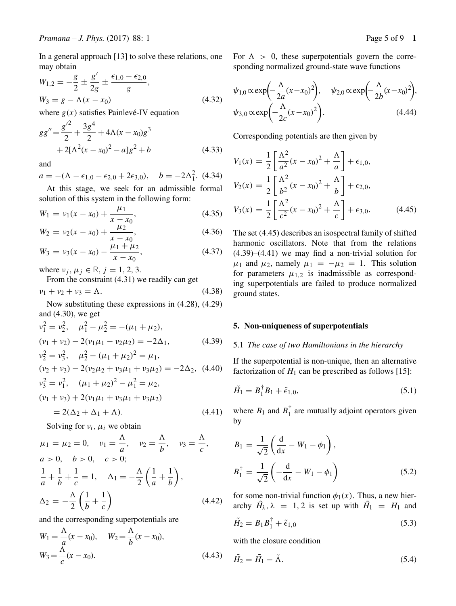In a general approach [13] to solve these relations, one may obtain

$$
W_{1,2} = -\frac{g}{2} \pm \frac{g'}{2g} \pm \frac{\epsilon_{1,0} - \epsilon_{2,0}}{g},
$$
  
\n
$$
W_3 = g - \Lambda(x - x_0)
$$
\n(4.32)

where  $g(x)$  satisfies Painlevé-IV equation

$$
gg'' = \frac{g'^2}{2} + \frac{3g^4}{2} + 4\Lambda(x - x_0)g^3
$$
  
+ 2[\Lambda^2(x - x\_0)^2 - a]g^2 + b (4.33)

and

 $a = -(\Lambda - \epsilon_{1,0} - \epsilon_{2,0} + 2\epsilon_{3,0}), \quad b = -2\Delta_1^2.$  (4.34)

At this stage, we seek for an admissible formal solution of this system in the following form:

$$
W_1 = v_1(x - x_0) + \frac{\mu_1}{x - x_0},
$$
\n
$$
\mu_2
$$
\n(4.35)

$$
W_2 = \nu_2(x - x_0) + \frac{\mu_2}{x - x_0},\tag{4.36}
$$
\n
$$
\mu_1 + \mu_2
$$

$$
W_3 = v_3(x - x_0) - \frac{\mu_1 + \mu_2}{x - x_0},\tag{4.37}
$$

where  $v_j$ ,  $\mu_j \in \mathbb{R}$ ,  $j = 1, 2, 3$ .<br>From the constraint (4.31) w

From the constraint (4.31) we readily can get

$$
\nu_1 + \nu_2 + \nu_3 = \Lambda. \tag{4.38}
$$

Now substituting these expressions in (4.28), (4.29) and (4.30), we get

$$
\nu_1^2 = \nu_2^2, \quad \mu_1^2 - \mu_2^2 = -(\mu_1 + \mu_2),
$$
  
\n
$$
(\nu_1 + \nu_2) - 2(\nu_1\mu_1 - \nu_2\mu_2) = -2\Delta_1,
$$
  
\n
$$
\nu_2^2 = \nu_3^2, \quad \mu_2^2 - (\mu_1 + \mu_2)^2 = \mu_1,
$$
  
\n
$$
(\nu_2 + \nu_3) - 2(\nu_2\mu_2 + \nu_3\mu_1 + \nu_3\mu_2) = -2\Delta_2,
$$
  
\n
$$
(\nu_3^2 = \nu_1^2, \quad (\mu_1 + \mu_2)^2 - \mu_1^2 = \mu_2,
$$
  
\n
$$
(\nu_1 + \nu_3) + 2(\nu_1\mu_1 + \nu_3\mu_1 + \nu_3\mu_2)
$$
 (4.40)

$$
=2(\Delta_2+\Delta_1+\Lambda). \tag{4.41}
$$

Solving for  $v_i$ ,  $\mu_i$  we obtain

$$
\mu_1 = \mu_2 = 0, \quad \nu_1 = \frac{\Lambda}{a}, \quad \nu_2 = \frac{\Lambda}{b}, \quad \nu_3 = \frac{\Lambda}{c},
$$
  
\n $a > 0, \quad b > 0, \quad c > 0;$   
\n $\frac{1}{a} + \frac{1}{b} + \frac{1}{c} = 1, \quad \Delta_1 = -\frac{\Lambda}{2} \left( \frac{1}{a} + \frac{1}{b} \right),$   
\n $\Delta_2 = -\frac{\Lambda}{2} \left( \frac{1}{b} + \frac{1}{c} \right)$  (4.42)

and the corresponding superpotentials are

$$
W_1 = \frac{\Lambda}{a}(x - x_0), \quad W_2 = \frac{\Lambda}{b}(x - x_0),
$$
  

$$
W_3 = \frac{\Lambda}{c}(x - x_0).
$$
 (4.43)

For  $\Lambda > 0$ , these superpotentials govern the corresponding normalized ground-state wave functions

$$
\psi_{1,0} \propto \exp\left(-\frac{\Lambda}{2a}(x-x_0)^2\right), \quad \psi_{2,0} \propto \exp\left(-\frac{\Lambda}{2b}(x-x_0)^2\right),
$$

$$
\psi_{3,0} \propto \exp\left(-\frac{\Lambda}{2c}(x-x_0)^2\right).
$$
(4.44)

Corresponding potentials are then given by

$$
V_1(x) = \frac{1}{2} \left[ \frac{\Lambda^2}{a^2} (x - x_0)^2 + \frac{\Lambda}{a} \right] + \epsilon_{1,0},
$$
  
\n
$$
V_2(x) = \frac{1}{2} \left[ \frac{\Lambda^2}{b^2} (x - x_0)^2 + \frac{\Lambda}{b} \right] + \epsilon_{2,0},
$$
  
\n
$$
V_3(x) = \frac{1}{2} \left[ \frac{\Lambda^2}{c^2} (x - x_0)^2 + \frac{\Lambda}{c} \right] + \epsilon_{3,0}.
$$
\n(4.45)

The set (4.45) describes an isospectral family of shifted harmonic oscillators. Note that from the relations (4.39)–(4.41) we may find a non-trivial solution for  $\mu_1$  and  $\mu_2$ , namely  $\mu_1 = -\mu_2 = 1$ . This solution for parameters  $\mu_{1,2}$  is inadmissible as corresponding superpotentials are failed to produce normalized ground states.

## **5. Non-uniqueness of superpotentials**

#### 5.1 *The case of two Hamiltonians in the hierarchy*

If the superpotential is non-unique, then an alternative factorization of  $H_1$  can be prescribed as follows [15]:

$$
\tilde{H}_1 = B_1^{\dagger} B_1 + \tilde{\epsilon}_{1,0}, \tag{5.1}
$$

where  $B_1$  and  $B_1^{\dagger}$  are mutually adjoint operators given<br>by by

$$
B_1 = \frac{1}{\sqrt{2}} \left( \frac{d}{dx} - W_1 - \phi_1 \right),
$$
  
\n
$$
B_1^{\dagger} = \frac{1}{\sqrt{2}} \left( -\frac{d}{dx} - W_1 - \phi_1 \right)
$$
\n(5.2)

for some non-trivial function  $\phi_1(x)$ . Thus, a new hierarchy  $H_{\lambda}$ ,  $\lambda = 1, 2$  is set up with  $H_1 = H_1$  and

$$
\tilde{H}_2 = B_1 B_1^{\dagger} + \tilde{\epsilon}_{1,0} \tag{5.3}
$$

with the closure condition

$$
\tilde{H}_2 = \tilde{H}_1 - \tilde{\Lambda}.\tag{5.4}
$$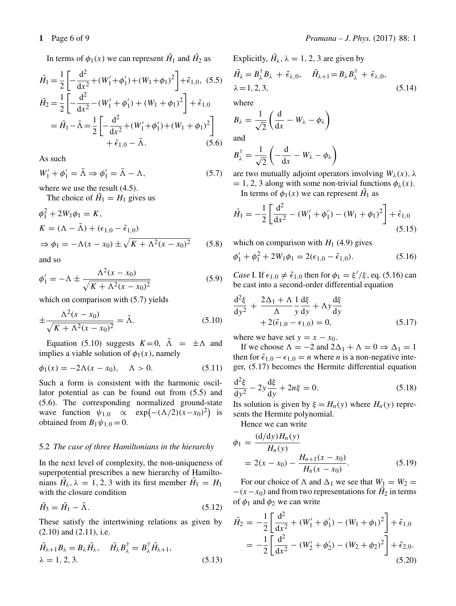$$
\tilde{H}_1 = \frac{1}{2} \left[ -\frac{d^2}{dx^2} + (W_1' + \phi_1') + (W_1 + \phi_1)^2 \right] + \tilde{\epsilon}_{1,0}, (5.5)
$$
\n
$$
\tilde{H}_2 = \frac{1}{2} \left[ -\frac{d^2}{dx^2} - (W_1' + \phi_1') + (W_1 + \phi_1)^2 \right] + \tilde{\epsilon}_{1,0}
$$
\n
$$
= \tilde{H}_1 - \tilde{\Lambda} = \frac{1}{2} \left[ -\frac{d^2}{dx^2} + (W_1' + \phi_1') + (W_1 + \phi_1)^2 \right]
$$
\n
$$
+ \tilde{\epsilon}_{1,0} - \tilde{\Lambda}. \qquad (5.6)
$$

As such

$$
W_1' + \phi_1' = \tilde{\Lambda} \Rightarrow \phi_1' = \tilde{\Lambda} - \Lambda,\tag{5.7}
$$

where we use the result  $(4.5)$ .

The choice of  $H_1 = H_1$  gives us

$$
\phi_1^2 + 2W_1\phi_1 = K,
$$
  
\n
$$
K = (\Lambda - \tilde{\Lambda}) + (\epsilon_{1,0} - \tilde{\epsilon}_{1,0})
$$
  
\n
$$
\Rightarrow \phi_1 = -\Lambda(x - x_0) \pm \sqrt{K + \Lambda^2(x - x_0)^2}
$$
(5.8)

and so

$$
\phi_1' = -\Lambda \pm \frac{\Lambda^2 (x - x_0)}{\sqrt{K + \Lambda^2 (x - x_0)^2}}
$$
(5.9)

which on comparison with  $(5.7)$  yields

$$
\pm \frac{\Lambda^2 (x - x_0)}{\sqrt{K + \Lambda^2 (x - x_0)^2}} = \tilde{\Lambda}.
$$
\n(5.10)

Equation (5.10) suggests  $K=0$ ,  $\Lambda = \pm \Lambda$  and implies a viable solution of  $\phi_1(x)$ , namely

$$
\phi_1(x) = -2\Lambda(x - x_0), \quad \Lambda > 0.
$$
 (5.11)

Such a form is consistent with the harmonic oscillator potential as can be found out from (5.5) and (5.6). The corresponding normalized ground-state wave function  $\psi_{1,0} \propto \exp(-(\Lambda/2)(x-x_0)^2)$  is<br>obtained from  $R_1/\psi_{1,0} = 0$ obtained from  $B_1 \psi_{1,0} = 0$ .

## 5.2 *The case of three Hamiltonians in the hierarchy*

In the next level of complexity, the non-uniqueness of superpotential prescribes a new hierarchy of Hamiltonians  $H_{\lambda}$ ,  $\lambda = 1, 2, 3$  with its first member  $H_1 = H_1$ <br>with the closure condition with the closure condition

$$
\tilde{H}_3 = \tilde{H}_1 - \tilde{\Lambda}.\tag{5.12}
$$

These satisfy the intertwining relations as given by (2.10) and (2.11), i.e.

$$
\tilde{H}_{\lambda+1}B_{\lambda} = B_{\lambda}\tilde{H}_{\lambda}, \quad \tilde{H}_{\lambda}B_{\lambda}^{\dagger} = B_{\lambda}^{\dagger}\tilde{H}_{\lambda+1}, \lambda = 1, 2, 3.
$$
\n(5.13)

**1** Page 6 of 9 *Pramana – J. Phys.* (2017) 88: 1

Explicitly, 
$$
\tilde{H}_{\lambda}
$$
,  $\lambda = 1, 2, 3$  are given by  
\n
$$
\tilde{H}_{\lambda} = B_{\lambda}^{\dagger} B_{\lambda} + \tilde{\epsilon}_{\lambda,0}, \quad \tilde{H}_{\lambda+1} = B_{\lambda} B_{\lambda}^{\dagger} + \tilde{\epsilon}_{\lambda,0},
$$
\n
$$
\lambda = 1, 2, 3,
$$
\n(5.14)

where

$$
B_{\lambda} = \frac{1}{\sqrt{2}} \left( \frac{d}{dx} - W_{\lambda} - \phi_{\lambda} \right)
$$
 and

$$
B_{\lambda}^{\dagger} = \frac{1}{\sqrt{2}} \left( -\frac{d}{dx} - W_{\lambda} - \phi_{\lambda} \right)
$$

are two mutually adjoint operators involving  $W_\lambda(x)$ ,  $\lambda$ <br>- 1.2.3 along with some non-trivial functions  $\phi_0(x)$  $= 1, 2, 3$  along with some non-trivial functions  $\phi_{\lambda}(x)$ .

In terms of  $\phi_1(x)$  we can represent  $H_1$  as

$$
\tilde{H}_1 = -\frac{1}{2} \left[ \frac{\mathrm{d}^2}{\mathrm{d}x^2} - (W_1' + \phi_1') - (W_1 + \phi_1)^2 \right] + \tilde{\epsilon}_{1,0} \tag{5.15}
$$

which on comparison with  $H_1$  (4.9) gives

$$
\phi_1' + \phi_1^2 + 2W_1\phi_1 = 2(\epsilon_{1,0} - \tilde{\epsilon}_{1,0}).
$$
\n(5.16)

*Case* I. If  $\epsilon_{1,0} \neq \tilde{\epsilon}_{1,0}$  then for  $\phi_1 = \xi'/\xi$ , eq. (5.16) can be cast into a second-order differential equation be cast into a second-order differential equation

$$
\frac{d^2\xi}{dy^2} + \frac{2\Delta_1 + \Lambda}{\Lambda} \frac{1}{y} \frac{d\xi}{dy} + \Lambda y \frac{d\xi}{dy} + 2(\tilde{\epsilon}_{1,0} - \epsilon_{1,0}) = 0,
$$
\n(5.17)

where we have set  $y = x - x_0$ .

If we choose  $\Lambda = -2$  and  $2\Delta_1 + \Lambda = 0 \Rightarrow \Delta_1 = 1$ then for  $\tilde{\epsilon}_{1,0} - \epsilon_{1,0} = n$  where *n* is a non-negative integer, (5.17) becomes the Hermite differential equation

$$
\frac{d^2\xi}{dy^2} - 2y\frac{d\xi}{dy} + 2n\xi = 0.
$$
 (5.18)  
Its solution is given by  $\xi = H$  (v) where H (v) range

Its solution is given by  $\xi = H_n(y)$  where  $H_n(y)$  repre-<br>sents the Hermite polynomial sents the Hermite polynomial.

Hence we can write

$$
\phi_1 = \frac{(d/dy)H_n(y)}{H_n(y)} \n= 2(x - x_0) - \frac{H_{n+1}(x - x_0)}{H_n(x - x_0)}.
$$
\n(5.19)

For our choice of  $\Lambda$  and  $\Delta_1$  we see that  $W_1 = W_2$  =  $-(x-x_0)$  and from two representations for  $H_2$  in terms<br>of  $\phi_1$  and  $\phi_2$  we can write of  $\phi_1$  and  $\phi_2$  we can write

$$
\tilde{H}_2 = -\frac{1}{2} \left[ \frac{d^2}{dx^2} + (W_1' + \phi_1') - (W_1 + \phi_1)^2 \right] + \tilde{\epsilon}_{1,0}
$$
\n
$$
= -\frac{1}{2} \left[ \frac{d^2}{dx^2} - (W_2' + \phi_2') - (W_2 + \phi_2)^2 \right] + \tilde{\epsilon}_{2,0}.
$$
\n(5.20)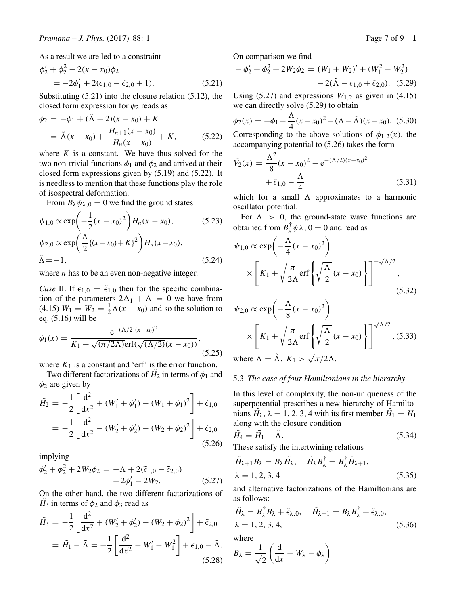As a result we are led to a constraint

$$
\phi_2' + \phi_2^2 - 2(x - x_0)\phi_2
$$
  
= -2\phi\_1' + 2(\epsilon\_{1,0} - \tilde{\epsilon}\_{2,0} + 1). (5.21)

Substituting (5.21) into the closure relation (5.12), the closed form expression for  $\phi_2$  reads as

$$
\phi_2 = -\phi_1 + (\Lambda + 2)(x - x_0) + K
$$
  
=  $\tilde{\Lambda}(x - x_0) + \frac{H_{n+1}(x - x_0)}{H_n(x - x_0)} + K,$  (5.22)  
where *K* is a constant. We have thus solved for the

where K is a constant. We have thus solved for the two non-trivial functions  $\phi_1$  and  $\phi_2$  and arrived at their two non-trivial functions  $\phi_1$  and  $\phi_2$  and arrived at their closed form expressions given by (5.19) and (5.22). It is needless to mention that these functions play the role of isospectral deformation.

From  $B_{\lambda}\psi_{\lambda,0}=0$  we find the ground states

$$
\psi_{1,0} \propto \exp\left(-\frac{1}{2}(x-x_0)^2\right) H_n(x-x_0),\tag{5.23}
$$
\n
$$
\psi_{2,0} \propto \exp\left(\frac{\Lambda}{2}\{(x-x_0)+K\}^2\right) H_n(x-x_0),\tag{5.24}
$$

where  $n$  has to be an even non-negative integer.

*Case* II. If  $\epsilon_{1,0} = \tilde{\epsilon}_{1,0}$  then for the specific combination of the parameters  $2\Delta_1 + \Lambda = 0$  we have from (4.15)  $W_1 = W_2 = \frac{1}{2}\Lambda(x - x_0)$  and so the solution to eq. (5.16) will be eq. (5.16) will be

$$
\phi_1(x) = \frac{e^{-(\Lambda/2)(x-x_0)^2}}{K_1 + \sqrt{(\pi/2\Lambda)} \text{erf}(\sqrt{(\Lambda/2)}(x-x_0))},
$$
\n(5.25)

where  $K_1$  is a constant and 'erf' is the error function.

Two different factorizations of  $H_2$  in terms of  $\phi_1$  and are given by  $\phi_2$  are given by

$$
\tilde{H}_2 = -\frac{1}{2} \left[ \frac{d^2}{dx^2} + (W_1' + \phi_1') - (W_1 + \phi_1)^2 \right] + \tilde{\epsilon}_{1,0}
$$
\n
$$
= -\frac{1}{2} \left[ \frac{d^2}{dx^2} - (W_2' + \phi_2') - (W_2 + \phi_2)^2 \right] + \tilde{\epsilon}_{2,0}
$$
\n(5.26)

implying

$$
\phi_2' + \phi_2^2 + 2W_2\phi_2 = -\Lambda + 2(\tilde{\epsilon}_{1,0} - \tilde{\epsilon}_{2,0}) - 2\phi_1' - 2W_2.
$$
 (5.27)

On the other hand, the two different factorizations of  $H_3$  in terms of  $φ_2$  and  $φ_3$  read as

$$
\tilde{H}_3 = -\frac{1}{2} \left[ \frac{d^2}{dx^2} + (W'_2 + \phi'_2) - (W_2 + \phi_2)^2 \right] + \tilde{\epsilon}_{2,0}
$$

$$
= \tilde{H}_1 - \tilde{\Lambda} = -\frac{1}{2} \left[ \frac{d^2}{dx^2} - W'_1 - W_1^2 \right] + \epsilon_{1,0} - \tilde{\Lambda}.
$$
(5.28)

On comparison we find

$$
-\phi_2' + \phi_2^2 + 2W_2\phi_2 = (W_1 + W_2)' + (W_1^2 - W_2^2) - 2(\tilde{\Lambda} - \epsilon_{1,0} + \tilde{\epsilon}_{2,0}). \quad (5.29)
$$

Using (5.27) and expressions  $W_{1,2}$  as given in (4.15)<br>we can directly solve (5.29) to obtain we can directly solve (5.29) to obtain

$$
\phi_2(x) = -\phi_1 - \frac{\Lambda}{4}(x - x_0)^2 - (\Lambda - \tilde{\Lambda})(x - x_0). \tag{5.30}
$$

Corresponding to the above solutions of  $\phi_1$ <sub>2</sub>(x), the accompanying potential to (5.26) takes the form

$$
\tilde{V}_2(x) = \frac{\Lambda^2}{8}(x - x_0)^2 - e^{-(\Lambda/2)(x - x_0)^2} + \tilde{\epsilon}_{1,0} - \frac{\Lambda}{4}
$$
\n(5.31)

which for a small  $\Lambda$  approximates to a harmonic oscillator potential.

For  $\Lambda > 0$ , the ground-state wave functions are obtained from  $B_{\lambda}^{\dagger} \psi \lambda$ ,  $0 = 0$  and read as

$$
\psi_{1,0} \propto \exp\left(-\frac{\Lambda}{4}(x-x_0)^2\right)
$$

$$
\times \left[K_1 + \sqrt{\frac{\pi}{2\Lambda}} \text{erf}\left\{\sqrt{\frac{\Lambda}{2}}(x-x_0)\right\}\right]^{-\sqrt{\Lambda/2}},
$$
(5.32)

$$
\psi_{2,0} \propto \exp\left(-\frac{\Lambda}{8}(x-x_0)^2\right)
$$

$$
\times \left[K_1 + \sqrt{\frac{\pi}{2\Lambda}} \text{erf}\left\{\sqrt{\frac{\Lambda}{2}}(x-x_0)\right\}\right]^{\sqrt{\Lambda/2}}, (5.33)
$$

where  $\Lambda = \Lambda$ ,  $K_1 > \sqrt{\pi/2\Lambda}$ .

## 5.3 *The case of four Hamiltonians in the hierarchy*

In this level of complexity, the non-uniqueness of the superpotential prescribes a new hierarchy of Hamiltonians  $H_{\lambda}$ ,  $\lambda = 1, 2, 3, 4$  with its first member  $H_1 = H_1$ <br>along with the closure condition along with the closure condition

$$
\tilde{H}_4 = \tilde{H}_1 - \tilde{\Lambda}.
$$
\nThese satisfy the intertwining relations

\n
$$
\tag{5.34}
$$

$$
\tilde{H}_{\lambda+1}B_{\lambda} = B_{\lambda}\tilde{H}_{\lambda}, \quad \tilde{H}_{\lambda}B_{\lambda}^{\dagger} = B_{\lambda}^{\dagger}\tilde{H}_{\lambda+1}, \n\lambda = 1, 2, 3, 4
$$
\n(5.35)

and alternative factorizations of the Hamiltonians are as follows:

$$
\tilde{H}_{\lambda} = B_{\lambda}^{\dagger} B_{\lambda} + \tilde{\epsilon}_{\lambda,0}, \quad \tilde{H}_{\lambda+1} = B_{\lambda} B_{\lambda}^{\dagger} + \tilde{\epsilon}_{\lambda,0}, \lambda = 1, 2, 3, 4,
$$
\n(5.36)

where

$$
B_{\lambda} = \frac{1}{\sqrt{2}} \left( \frac{\mathrm{d}}{\mathrm{d}x} - W_{\lambda} - \phi_{\lambda} \right)
$$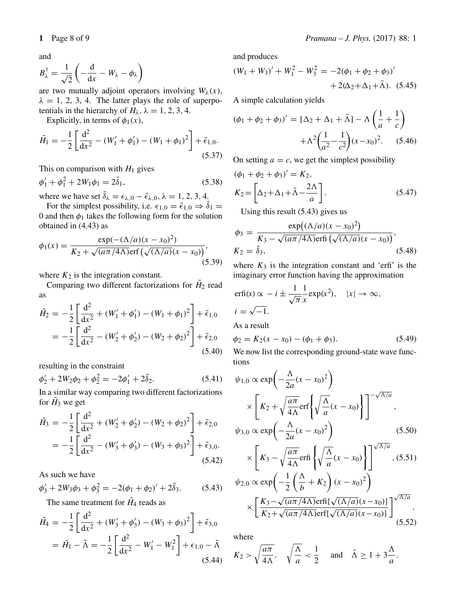and

$$
B_{\lambda}^{\dagger} = \frac{1}{\sqrt{2}} \left( -\frac{d}{dx} - W_{\lambda} - \phi_{\lambda} \right)
$$

are two mutually adjoint operators involving  $W_{\lambda}(x)$ ,<br> $\lambda = 1, 2, 3, 4$ . The latter plays the role of superpo- $\lambda = 1, 2, 3, 4$ . The latter plays the role of superpotentials in the hierarchy of  $H_{\lambda}$ ,  $\lambda = 1, 2, 3, 4$ .

Explicitly, in terms of  $\phi_1(x)$ ,

$$
\tilde{H}_1 = -\frac{1}{2} \left[ \frac{\mathrm{d}^2}{\mathrm{d}x^2} - (W_1' + \phi_1') - (W_1 + \phi_1)^2 \right] + \tilde{\epsilon}_{1,0}.
$$
\n(5.37)

This on comparison with  $H_1$  gives

$$
\phi_1' + \phi_1^2 + 2W_1\phi_1 = 2\tilde{\delta}_1,\tag{5.38}
$$

where we have set  $\delta_{\lambda} = \epsilon_{\lambda,0} - \tilde{\epsilon}_{\lambda,0}, \lambda = 1, 2, 3, 4$ .<br>For the simplest possibility i.e.  $\epsilon_{\lambda,0} - \tilde{\epsilon}_{\lambda,0} \rightarrow \tilde{\delta}_{\lambda}$ 

For the simplest possibility, i.e.  $\epsilon_{1,0} = \tilde{\epsilon}_{1,0} \Rightarrow \delta_1 =$ <br>and then  $\phi_1$  takes the following form for the solution 0 and then  $\phi_1$  takes the following form for the solution obtained in (4.43) as

$$
\phi_1(x) = \frac{\exp(-(\Lambda/a)(x - x_0)^2)}{K_2 + \sqrt{(a\pi/4\Lambda)} \text{erf}\left(\sqrt{(\Lambda/a)}(x - x_0)\right)},
$$
\n(5.39)

where  $K_2$  is the integration constant.

Comparing two different factorizations for  $\tilde{H}_2$  read as

$$
\tilde{H}_2 = -\frac{1}{2} \left[ \frac{d^2}{dx^2} + (W_1' + \phi_1') - (W_1 + \phi_1)^2 \right] + \tilde{\epsilon}_{1,0}
$$
\n
$$
= -\frac{1}{2} \left[ \frac{d^2}{dx^2} - (W_2' + \phi_2') - (W_2 + \phi_2)^2 \right] + \tilde{\epsilon}_{2,0}
$$
\n(5.40)

resulting in the constraint

$$
\phi_2' + 2W_2\phi_2 + \phi_2^2 = -2\phi_1' + 2\tilde{\delta}_2.
$$
 (5.41)

In a similar way comparing two different factorizations for  $H_3$  we get

$$
\tilde{H}_3 = -\frac{1}{2} \left[ \frac{d^2}{dx^2} + (W'_2 + \phi'_2) - (W_2 + \phi_2)^2 \right] + \tilde{\epsilon}_{2,0}
$$
\n
$$
= -\frac{1}{2} \left[ \frac{d^2}{dx^2} - (W'_3 + \phi'_3) - (W_3 + \phi_3)^2 \right] + \tilde{\epsilon}_{3,0}.
$$
\n(5.42)

As such we have

$$
\phi_3' + 2W_3\phi_3 + \phi_3^2 = -2(\phi_1 + \phi_2)' + 2\tilde{\delta}_3. \tag{5.43}
$$

The same treatment for  $H_4$  reads as

$$
\tilde{H}_4 = -\frac{1}{2} \left[ \frac{d^2}{dx^2} + (W_3' + \phi_3') - (W_3 + \phi_3)^2 \right] + \tilde{\epsilon}_{3,0}
$$

$$
= \tilde{H}_1 - \tilde{\Lambda} = -\frac{1}{2} \left[ \frac{d^2}{dx^2} - W_1' - W_1^2 \right] + \epsilon_{1,0} - \tilde{\Lambda}
$$
(5.44)

and produces

$$
(W_1 + W_3)' + W_1^2 - W_3^2 = -2(\phi_1 + \phi_2 + \phi_3)'
$$
  
+ 2(\Delta\_2 + \Delta\_1 + \tilde{\Lambda}). (5.45)

A simple calculation yields

$$
(\phi_1 + \phi_2 + \phi_3)' = [\Delta_2 + \Delta_1 + \tilde{\Lambda}] - \Lambda \left(\frac{1}{a} + \frac{1}{c}\right) + \Lambda^2 \left(\frac{1}{a^2} - \frac{1}{c^2}\right) (x - x_0)^2.
$$
 (5.46)

On setting  $a = c$ , we get the simplest possibility

$$
(\phi_1 + \phi_2 + \phi_3)' = K_2,
$$
  
\n
$$
K_2 = \left[\Delta_2 + \Delta_1 + \tilde{\Lambda} - \frac{2\Lambda}{a}\right].
$$
\n(5.47)

Using this result (5.43) gives us

$$
\phi_3 = \frac{\exp((\Lambda/a)(x - x_0)^2)}{K_3 - \sqrt{(a\pi/4\Lambda)} \operatorname{erfi}\left(\sqrt{(\Lambda/a)}(x - x_0)\right)},
$$
  
\n
$$
K_2 = \tilde{\delta}_3,
$$
\n(5.48)

where  $K_3$  is the integration constant and 'erfi' is the imaginary error function having the approximation

$$
\text{erfi}(x) \propto -i \pm \frac{1}{\sqrt{\pi}} \frac{1}{x} \exp(x^2), \quad |x| \to \infty,
$$
  

$$
i = \sqrt{-1}.
$$

As a result

$$
\phi_2 = K_2(x - x_0) - (\phi_1 + \phi_3). \tag{5.49}
$$

We now list the corresponding ground-state wave functions

$$
\psi_{1,0} \propto \exp\left(-\frac{\Lambda}{2a}(x-x_0)^2\right)
$$

$$
\times \left[K_2 + \sqrt{\frac{a\pi}{4\Lambda}} \text{erf}\left\{\sqrt{\frac{\Lambda}{a}}(x-x_0)\right\}\right]^{-\sqrt{\Lambda/a}},
$$

$$
\psi_{3,0} \propto \exp\left(-\frac{\Lambda}{2a}(x-x_0)^2\right) \qquad (5.50)
$$

$$
\times \left[K_3 - \sqrt{\frac{a\pi}{4\Lambda}} \text{erfi}\left\{\sqrt{\frac{\Lambda}{a}}(x - x_0)\right\}\right]^{\sqrt{\Lambda}/a}, (5.51)
$$

$$
\psi_{2,0} \propto \exp\left(-\frac{1}{2}\left(\frac{\Lambda}{b} + K_2\right)(x - x_0)^2\right)
$$

$$
\psi_{2,0} \propto \exp\left(-\frac{1}{2}\left(\frac{1}{b} + K_2\right)(x - x_0)^2\right)
$$

$$
\times \left[\frac{K_3 - \sqrt{(a\pi/4\Lambda)}\mathrm{erfi}\{\sqrt{(\Lambda/a)}(x - x_0)\}}{K_2 + \sqrt{(a\pi/4\Lambda)}\mathrm{erf}\{\sqrt{(\Lambda/a)}(x - x_0)\}}\right]^{\sqrt{\Lambda/a}},
$$
(5.52)

where

$$
K_2 > \sqrt{\frac{a\pi}{4\Lambda}}, \quad \sqrt{\frac{\Lambda}{a}} < \frac{1}{2} \quad \text{and} \quad \tilde{\Lambda} \ge 1 + 3\frac{\Lambda}{a}.
$$